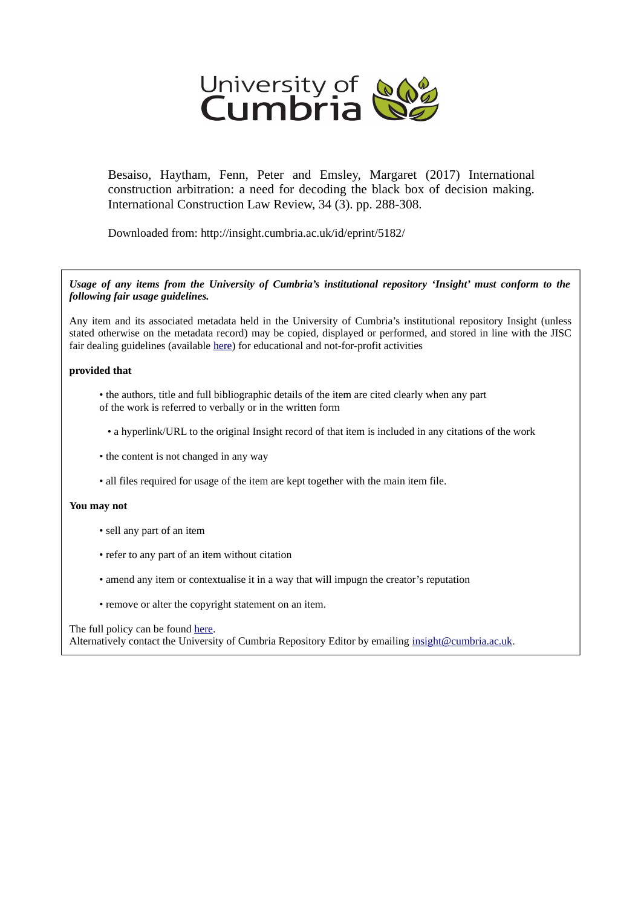

Besaiso, Haytham, Fenn, Peter and Emsley, Margaret (2017) International construction arbitration: a need for decoding the black box of decision making. International Construction Law Review, 34 (3). pp. 288-308.

Downloaded from: http://insight.cumbria.ac.uk/id/eprint/5182/

*Usage of any items from the University of Cumbria's institutional repository 'Insight' must conform to the following fair usage guidelines.*

Any item and its associated metadata held in the University of Cumbria's institutional repository Insight (unless stated otherwise on the metadata record) may be copied, displayed or performed, and stored in line with the JISC fair dealing guidelines (available [here\)](http://www.ukoln.ac.uk/services/elib/papers/pa/fair/) for educational and not-for-profit activities

### **provided that**

- the authors, title and full bibliographic details of the item are cited clearly when any part of the work is referred to verbally or in the written form
	- a hyperlink/URL to the original Insight record of that item is included in any citations of the work
- the content is not changed in any way
- all files required for usage of the item are kept together with the main item file.

## **You may not**

- sell any part of an item
- refer to any part of an item without citation
- amend any item or contextualise it in a way that will impugn the creator's reputation
- remove or alter the copyright statement on an item.

### The full policy can be found [here.](http://insight.cumbria.ac.uk/legal.html#section5)

Alternatively contact the University of Cumbria Repository Editor by emailing [insight@cumbria.ac.uk.](mailto:insight@cumbria.ac.uk)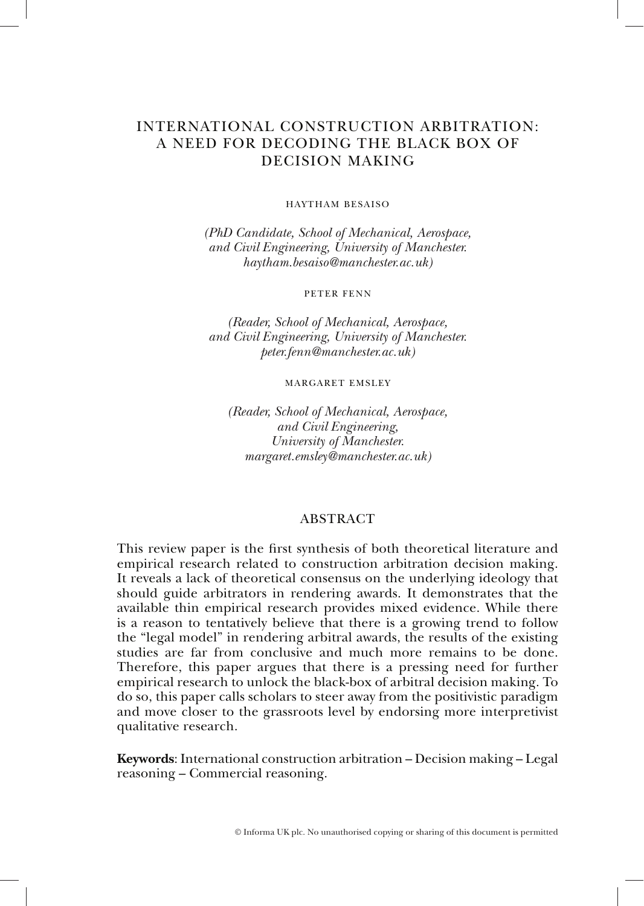# INTERNATIONAL CONSTRUCTION ARBITRATION: A NEED FOR DECODING THE BLACK BOX OF DECISION MAKING

#### HAYTHAM BESAISO

*(PhD Candidate, School of Mechanical, Aerospace, and Civil Engineering, University of Manchester. haytham.besaiso@manchester.ac.uk)* 

#### PETER FENN

*(Reader, School of Mechanical, Aerospace, and Civil Engineering, University of Manchester. peter.fenn@manchester.ac.uk)* 

MARGARET EMSLEY

*(Reader, School of Mechanical, Aerospace, and Civil Engineering, University of Manchester. margaret.emsley@manchester.ac.uk)* 

### ABSTRACT

This review paper is the first synthesis of both theoretical literature and empirical research related to construction arbitration decision making. It reveals a lack of theoretical consensus on the underlying ideology that should guide arbitrators in rendering awards. It demonstrates that the available thin empirical research provides mixed evidence. While there is a reason to tentatively believe that there is a growing trend to follow the "legal model" in rendering arbitral awards, the results of the existing studies are far from conclusive and much more remains to be done. Therefore, this paper argues that there is a pressing need for further empirical research to unlock the black-box of arbitral decision making. To do so, this paper calls scholars to steer away from the positivistic paradigm and move closer to the grassroots level by endorsing more interpretivist qualitative research.

**Keywords**: International construction arbitration – Decision making – Legal reasoning – Commercial reasoning.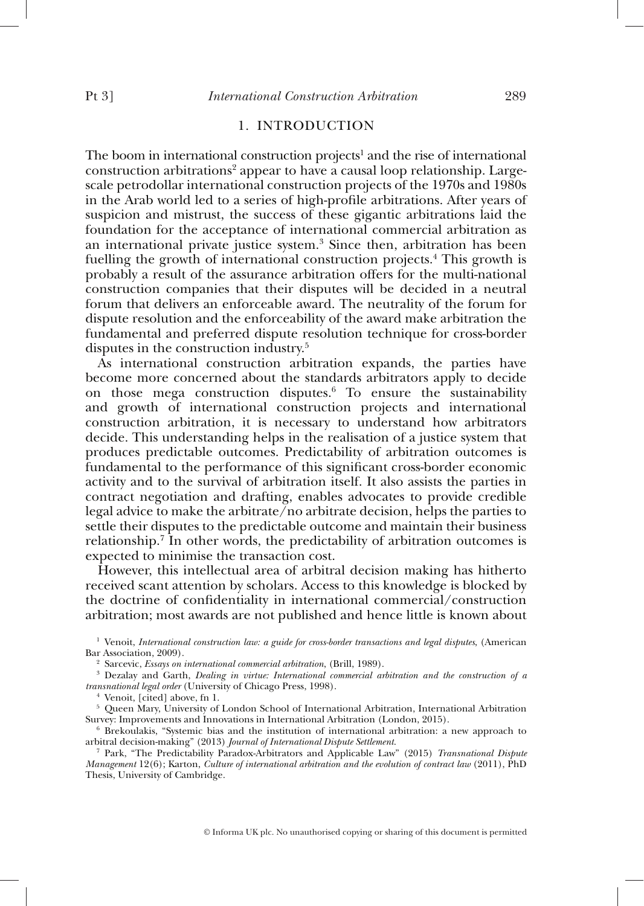### 1. INTRODUCTION

The boom in international construction projects<sup>1</sup> and the rise of international construction arbitrations<sup>2</sup> appear to have a causal loop relationship. Largescale petrodollar international construction projects of the 1970s and 1980s in the Arab world led to a series of high-profile arbitrations. After years of suspicion and mistrust, the success of these gigantic arbitrations laid the foundation for the acceptance of international commercial arbitration as an international private justice system.<sup>3</sup> Since then, arbitration has been fuelling the growth of international construction projects.<sup>4</sup> This growth is probably a result of the assurance arbitration offers for the multi-national construction companies that their disputes will be decided in a neutral forum that delivers an enforceable award. The neutrality of the forum for dispute resolution and the enforceability of the award make arbitration the fundamental and preferred dispute resolution technique for cross-border disputes in the construction industry.<sup>5</sup>

As international construction arbitration expands, the parties have become more concerned about the standards arbitrators apply to decide on those mega construction disputes.<sup> $6$ </sup> To ensure the sustainability and growth of international construction projects and international construction arbitration, it is necessary to understand how arbitrators decide. This understanding helps in the realisation of a justice system that produces predictable outcomes. Predictability of arbitration outcomes is fundamental to the performance of this significant cross-border economic activity and to the survival of arbitration itself. It also assists the parties in contract negotiation and drafting, enables advocates to provide credible legal advice to make the arbitrate  $\overline{I}$  no arbitrate decision, helps the parties to settle their disputes to the predictable outcome and maintain their business relationship.<sup>7</sup> In other words, the predictability of arbitration outcomes is expected to minimise the transaction cost.

However, this intellectual area of arbitral decision making has hitherto received scant attention by scholars. Access to this knowledge is blocked by the doctrine of confidentiality in international commercial/construction arbitration; most awards are not published and hence little is known about

1 Venoit, *International construction law: a guide for cross-border transactions and legal disputes*, (American Bar Association, 2009).

<sup>2</sup> Sarcevic, *Essays on international commercial arbitration*, (Brill, 1989).

 Dezalay and Garth, *Dealing in virtue: International commercial arbitration and the construction of a transnational legal order* (University of Chicago Press, 1998). 4

 $4$  Venoit, [cited] above, fn 1.

<sup>5</sup> Queen Mary, University of London School of International Arbitration, International Arbitration Survey: Improvements and Innovations in International Arbitration (London, 2015). 6

 $6$  Brekoulakis, "Systemic bias and the institution of international arbitration: a new approach to arbitral decision-making" (2013) *Journal of International Dispute Settlement*.

arbitral decision-making" (2013) *Journal of International Dispute Settlement*. 7 Park, "The Predictability Paradox-Arbitrators and Applicable Law" (2015) *Transnational Dispute Management* 12(6); Karton, *Culture of international arbitration and the evolution of contract law* (2011), PhD Thesis, University of Cambridge.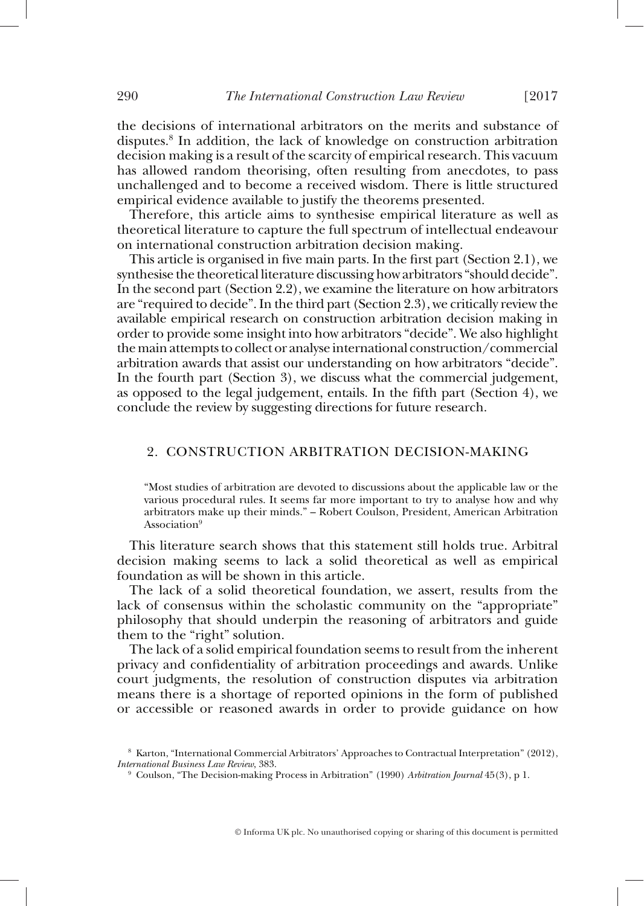the decisions of international arbitrators on the merits and substance of disputes. 8 In addition, the lack of knowledge on construction arbitration decision making is a result of the scarcity of empirical research. This vacuum has allowed random theorising, often resulting from anecdotes, to pass unchallenged and to become a received wisdom. There is little structured empirical evidence available to justify the theorems presented.

Therefore, this article aims to synthesise empirical literature as well as theoretical literature to capture the full spectrum of intellectual endeavour on international construction arbitration decision making.

This article is organised in five main parts. In the first part (Section 2.1), we synthesise the theoretical literature discussing how arbitrators "should decide". In the second part (Section 2.2), we examine the literature on how arbitrators are "required to decide". In the third part (Section 2.3), we critically review the available empirical research on construction arbitration decision making in order to provide some insight into how arbitrators "decide". We also highlight the main attempts to collect or analyse international construction/commercial arbitration awards that assist our understanding on how arbitrators "decide". In the fourth part (Section 3), we discuss what the commercial judgement, as opposed to the legal judgement, entails. In the fifth part (Section 4), we conclude the review by suggesting directions for future research.

### 2. CONSTRUCTION ARBITRATION DECISION-MAKING

"Most studies of arbitration are devoted to discussions about the applicable law or the various procedural rules. It seems far more important to try to analyse how and why arbitrators make up their minds." – Robert Coulson, President, American Arbitration Association<sup>9</sup>

This literature search shows that this statement still holds true. Arbitral decision making seems to lack a solid theoretical as well as empirical foundation as will be shown in this article.

The lack of a solid theoretical foundation, we assert, results from the lack of consensus within the scholastic community on the "appropriate" philosophy that should underpin the reasoning of arbitrators and guide them to the "right" solution.

The lack of a solid empirical foundation seems to result from the inherent privacy and confidentiality of arbitration proceedings and awards. Unlike court judgments, the resolution of construction disputes via arbitration means there is a shortage of reported opinions in the form of published or accessible or reasoned awards in order to provide guidance on how

<sup>8</sup>  Karton, "International Commercial Arbitrators' Approaches to Contractual Interpretation" (2012), *International Business Law Review, 383.* 

Coulson, "The Decision-making Process in Arbitration" (1990) *Arbitration Journal* 45(3), p 1.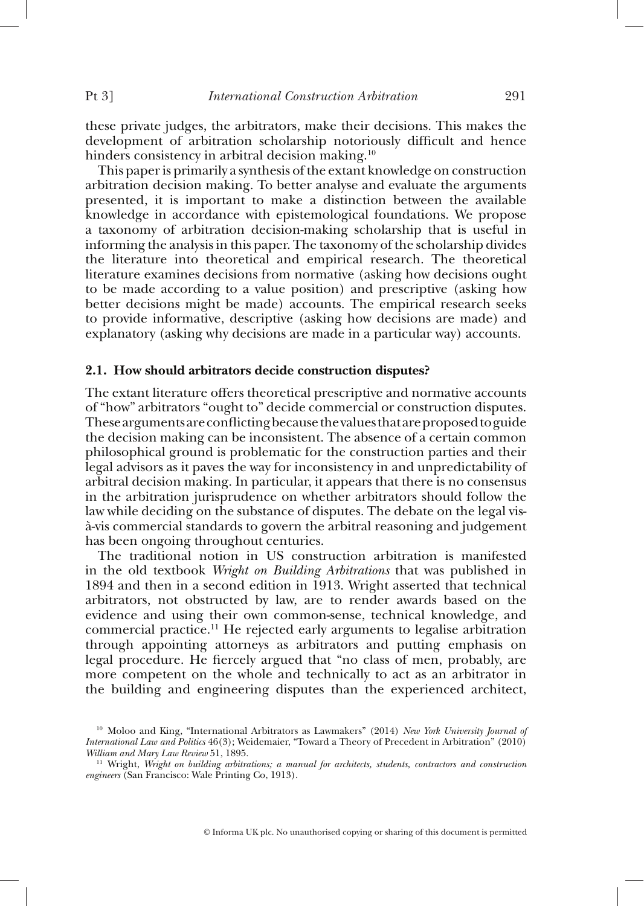these private judges, the arbitrators, make their decisions. This makes the development of arbitration scholarship notoriously difficult and hence hinders consistency in arbitral decision making.<sup>10</sup>

This paper is primarily a synthesis of the extant knowledge on construction arbitration decision making. To better analyse and evaluate the arguments presented, it is important to make a distinction between the available knowledge in accordance with epistemological foundations. We propose a taxonomy of arbitration decision-making scholarship that is useful in informing the analysis in this paper. The taxonomy of the scholarship divides the literature into theoretical and empirical research. The theoretical literature examines decisions from normative (asking how decisions ought to be made according to a value position) and prescriptive (asking how better decisions might be made) accounts. The empirical research seeks to provide informative, descriptive (asking how decisions are made) and explanatory (asking why decisions are made in a particular way) accounts.

### **2.1. How should arbitrators decide construction disputes?**

The extant literature offers theoretical prescriptive and normative accounts of "how" arbitrators "ought to" decide commercial or construction disputes. These arguments are conflicting because the values that are proposed to guide the decision making can be inconsistent. The absence of a certain common philosophical ground is problematic for the construction parties and their legal advisors as it paves the way for inconsistency in and unpredictability of arbitral decision making. In particular, it appears that there is no consensus in the arbitration jurisprudence on whether arbitrators should follow the law while deciding on the substance of disputes. The debate on the legal visà-vis commercial standards to govern the arbitral reasoning and judgement has been ongoing throughout centuries.

The traditional notion in US construction arbitration is manifested in the old textbook *Wright on Building Arbitrations* that was published in 1894 and then in a second edition in 1913. Wright asserted that technical arbitrators, not obstructed by law, are to render awards based on the evidence and using their own common-sense, technical knowledge, and commercial practice. 11 He rejected early arguments to legalise arbitration through appointing attorneys as arbitrators and putting emphasis on legal procedure. He fiercely argued that "no class of men, probably, are more competent on the whole and technically to act as an arbitrator in the building and engineering disputes than the experienced architect,

<sup>10</sup> Moloo and King, "International Arbitrators as Lawmakers" (2014) *New York University Journal of International Law and Politics* 46(3); Weidemaier, "Toward a Theory of Precedent in Arbitration" (2010)

<sup>&</sup>lt;sup>11</sup> Wright, *Wright on building arbitrations; a manual for architects, students, contractors and construction engineers* (San Francisco: Wale Printing Co, 1913).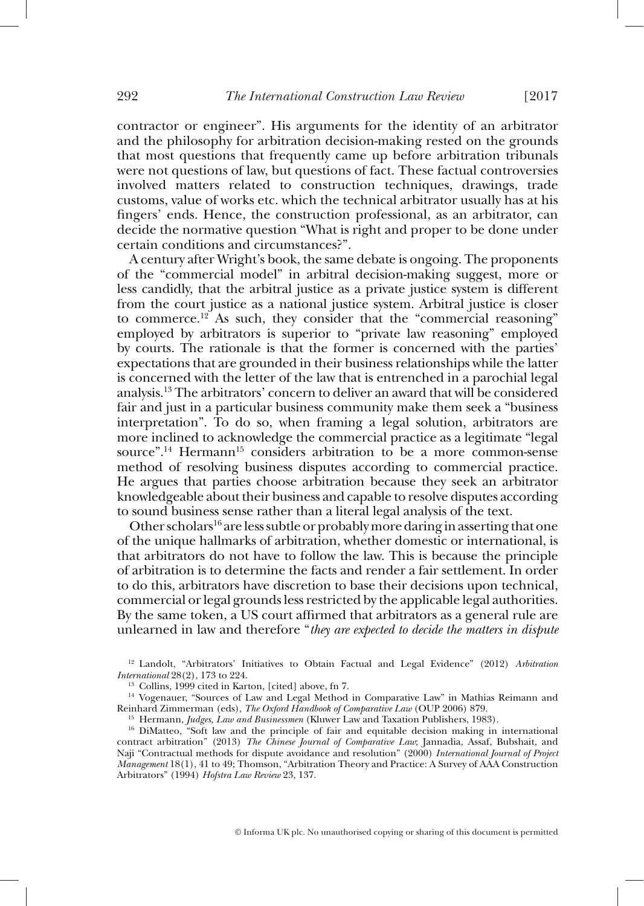contractor or engineer". His arguments for the identity of an arbitrator and the philosophy for arbitration decision-making rested on the grounds that most questions that frequently came up before arbitration tribunals were not questions of law, but questions of fact. These factual controversies involved matters related to construction techniques, drawings, trade customs, value of works etc. which the technical arbitrator usually has at his fingers' ends. Hence, the construction professional, as an arbitrator, can decide the normative question "What is right and proper to be done under certain conditions and circumstances?".

A century after Wright's book, the same debate is ongoing. The proponents of the "commercial model" in arbitral decision-making suggest, more or less candidly, that the arbitral justice as a private justice system is different from the court justice as a national justice system. Arbitral justice is closer to commerce.<sup>12</sup> As such, they consider that the "commercial reasoning" employed by arbitrators is superior to "private law reasoning" employed by courts. The rationale is that the former is concerned with the parties' expectations that are grounded in their business relationships while the latter is concerned with the letter of the law that is entrenched in a parochial legal analysis. 13 The arbitrators' concern to deliver an award that will be considered fair and just in a particular business community make them seek a "business interpretation". To do so, when framing a legal solution, arbitrators are more inclined to acknowledge the commercial practice as a legitimate "legal source".<sup>14</sup> Hermann<sup>15</sup> considers arbitration to be a more common-sense method of resolving business disputes according to commercial practice. He argues that parties choose arbitration because they seek an arbitrator knowledgeable about their business and capable to resolve disputes according to sound business sense rather than a literal legal analysis of the text.

Other scholars<sup>16</sup> are less subtle or probably more daring in asserting that one of the unique hallmarks of arbitration, whether domestic or international, is that arbitrators do not have to follow the law. This is because the principle of arbitration is to determine the facts and render a fair settlement. In order to do this, arbitrators have discretion to base their decisions upon technical, commercial or legal grounds less restricted by the applicable legal authorities. By the same token,  $\overline{a}$  US court affirmed that arbitrators as a general rule are unlearned in law and therefore " *they are expected to decide the matters in dispute* 

<sup>12</sup> Landolt, "Arbitrators' Initiatives to Obtain Factual and Legal Evidence" (2012) *Arbitration International* 28(2), 173 to 224.

<sup>13</sup> Collins, 1999 cited in Karton, [cited] above, fn 7.<br><sup>14</sup> Vogenauer, "Sources of Law and Legal Method in Comparative Law" in Mathias Reimann and<br>Reinhard Zimmerman (eds), *The Oxford Handbook of Comparative Law* (OUP 2

<sup>15</sup> Hermann, *Judges, Law and Businessmen* (Kluwer Law and Taxation Publishers, 1983).<br><sup>16</sup> DiMatteo, "Soft law and the principle of fair and equitable decision making in international contract arbitration" (2013) *The Chinese Journal of Comparative Law*; Jannadia, Assaf, Bubshait, and Naji "Contractual methods for dispute avoidance and resolution" (2000) *International Journal of Project Management* 18(1), 41 to 49; Thomson, "Arbitration Theory and Practice: A Survey of AAA Construction Arbitrators" (1994) *Hofstra Law Review* 23, 137.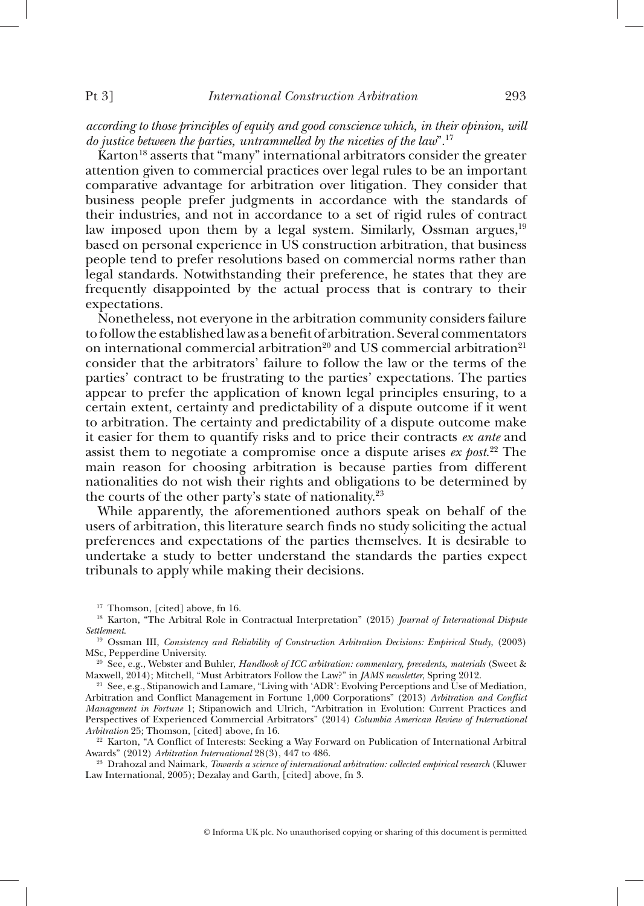*according to those principles of equity and good conscience which, in their opinion, will do justice between the parties, untrammelled by the niceties of the law*". 17

Karton<sup>18</sup> asserts that "many" international arbitrators consider the greater attention given to commercial practices over legal rules to be an important comparative advantage for arbitration over litigation. They consider that business people prefer judgments in accordance with the standards of their industries, and not in accordance to a set of rigid rules of contract law imposed upon them by a legal system. Similarly, Ossman argues, <sup>19</sup> based on personal experience in US construction arbitration, that business people tend to prefer resolutions based on commercial norms rather than legal standards. Notwithstanding their preference, he states that they are frequently disappointed by the actual process that is contrary to their expectations.

Nonetheless, not everyone in the arbitration community considers failure to follow the established law as a benefi t of arbitration. Several commentators on international commercial arbitration<sup>20</sup> and US commercial arbitration<sup>21</sup> consider that the arbitrators' failure to follow the law or the terms of the parties' contract to be frustrating to the parties' expectations. The parties appear to prefer the application of known legal principles ensuring, to a certain extent, certainty and predictability of a dispute outcome if it went to arbitration. The certainty and predictability of a dispute outcome make it easier for them to quantify risks and to price their contracts *ex ante* and assist them to negotiate a compromise once a dispute arises *ex post.*<sup>22</sup> The main reason for choosing arbitration is because parties from different nationalities do not wish their rights and obligations to be determined by the courts of the other party's state of nationality. $2<sup>3</sup>$ 

While apparently, the aforementioned authors speak on behalf of the users of arbitration, this literature search finds no study soliciting the actual preferences and expectations of the parties themselves. It is desirable to undertake a study to better understand the standards the parties expect tribunals to apply while making their decisions.

Awards" (2012) *Arbitration International* 28(3), 447 to 486. 23 Drahozal and Naimark, *Towards a science of international arbitration: collected empirical research* (Kluwer Law International, 2005); Dezalay and Garth, [cited] above, fn 3.

<sup>&</sup>lt;sup>17</sup> Thomson, [cited] above, fn 16.<br><sup>18</sup> Karton, "The Arbitral Role in Contractual Interpretation" (2015) *Journal of International Dispute*<br>*Settlement* 

<sup>&</sup>lt;sup>19</sup> Ossman III, *Consistency and Reliability of Construction Arbitration Decisions: Empirical Study*, (2003) MSc, Pepperdine University.

<sup>&</sup>lt;sup>20</sup> See, e.g., Webster and Buhler, *Handbook of ICC arbitration: commentary, precedents, materials* (Sweet & Maxwell, 2014); Mitchell, "Must Arbitrators Follow the Law?" in *JAMS newsletter*, Spring 2012.

<sup>&</sup>lt;sup>21</sup> See, e.g., Stipanowich and Lamare, "Living with 'ADR': Evolving Perceptions and Use of Mediation, Arbitration and Conflict Management in Fortune 1,000 Corporations" (2013) *Arbitration and Conflict Management in Fortune* 1; Stipanowich and Ulrich, "Arbitration in Evolution: Current Practices and Perspectives of Experienced Commercial Arbitrators" (2014) *Columbia American Review of International* 

<sup>&</sup>lt;sup>22</sup> Karton, "A Conflict of Interests: Seeking a Way Forward on Publication of International Arbitral Awards" (2012) Arbitration International 28(3), 447 to 486.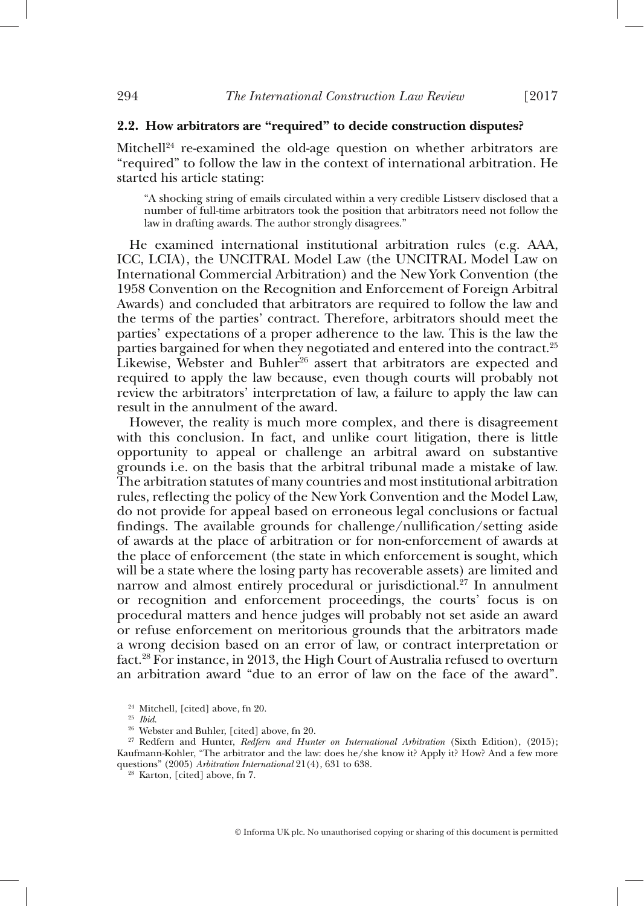#### **2.2. How arbitrators are "required" to decide construction disputes?**

Mitchell $24$  re-examined the old-age question on whether arbitrators are "required" to follow the law in the context of international arbitration. He started his article stating:

"A shocking string of emails circulated within a very credible Listserv disclosed that a number of full-time arbitrators took the position that arbitrators need not follow the law in drafting awards. The author strongly disagrees."

He examined international institutional arbitration rules (e.g. AAA, ICC, LCIA), the UNCITRAL Model Law (the UNCITRAL Model Law on International Commercial Arbitration) and the New York Convention (the 1958 Convention on the Recognition and Enforcement of Foreign Arbitral Awards) and concluded that arbitrators are required to follow the law and the terms of the parties' contract. Therefore, arbitrators should meet the parties' expectations of a proper adherence to the law. This is the law the parties bargained for when they negotiated and entered into the contract.<sup>25</sup> Likewise, Webster and Buhler<sup>26</sup> assert that arbitrators are expected and required to apply the law because, even though courts will probably not review the arbitrators' interpretation of law, a failure to apply the law can result in the annulment of the award.

However, the reality is much more complex, and there is disagreement with this conclusion. In fact, and unlike court litigation, there is little opportunity to appeal or challenge an arbitral award on substantive grounds i.e. on the basis that the arbitral tribunal made a mistake of law. The arbitration statutes of many countries and most institutional arbitration rules, reflecting the policy of the New York Convention and the Model Law, do not provide for appeal based on erroneous legal conclusions or factual findings. The available grounds for challenge/nullification/setting aside of awards at the place of arbitration or for non-enforcement of awards at the place of enforcement (the state in which enforcement is sought, which will be a state where the losing party has recoverable assets) are limited and narrow and almost entirely procedural or jurisdictional.<sup>27</sup> In annulment or recognition and enforcement proceedings, the courts' focus is on procedural matters and hence judges will probably not set aside an award or refuse enforcement on meritorious grounds that the arbitrators made a wrong decision based on an error of law, or contract interpretation or fact. 28 For instance, in 2013, the High Court of Australia refused to overturn an arbitration award "due to an error of law on the face of the award".

<sup>&</sup>lt;sup>24</sup> Mitchell, [cited] above, fn 20.<br><sup>25</sup> *Ibid.* 26 Webster and Buhler, [cited] above, fn 20.<br><sup>27</sup> Redfern and Hunter, *Redfern and Hunter on International Arbitration* (Sixth Edition), (2015); Kaufmann-Kohler, "The arbitrator and the law: does he/she know it? Apply it? How? And a few more questions" (2005) *Arbitration International* 21(4), 631 to 638.<br><sup>28</sup> Karton, [cited] above, fn 7.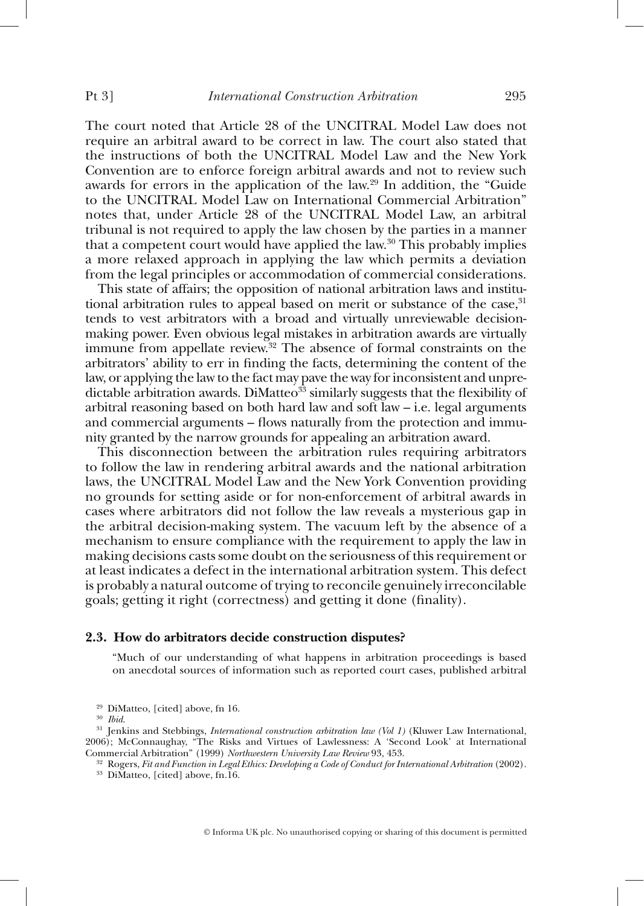The court noted that Article 28 of the UNCITRAL Model Law does not require an arbitral award to be correct in law. The court also stated that the instructions of both the UNCITRAL Model Law and the New York Convention are to enforce foreign arbitral awards and not to review such awards for errors in the application of the law.<sup>29</sup> In addition, the "Guide to the UNCITRAL Model Law on International Commercial Arbitration" notes that, under Article 28 of the UNCITRAL Model Law, an arbitral tribunal is not required to apply the law chosen by the parties in a manner that a competent court would have applied the law.  $30$  This probably implies a more relaxed approach in applying the law which permits a deviation from the legal principles or accommodation of commercial considerations.

This state of affairs; the opposition of national arbitration laws and institutional arbitration rules to appeal based on merit or substance of the case, $31$ tends to vest arbitrators with a broad and virtually unreviewable decisionmaking power. Even obvious legal mistakes in arbitration awards are virtually immune from appellate review.  $\overrightarrow{32}$  The absence of formal constraints on the arbitrators' ability to err in finding the facts, determining the content of the law, or applying the law to the fact may pave the way for inconsistent and unpredictable arbitration awards. DiMatteo<sup>33</sup> similarly suggests that the flexibility of arbitral reasoning based on both hard law and soft law – i.e. legal arguments and commercial arguments – flows naturally from the protection and immunity granted by the narrow grounds for appealing an arbitration award.

This disconnection between the arbitration rules requiring arbitrators to follow the law in rendering arbitral awards and the national arbitration laws, the UNCITRAL Model Law and the New York Convention providing no grounds for setting aside or for non-enforcement of arbitral awards in cases where arbitrators did not follow the law reveals a mysterious gap in the arbitral decision-making system. The vacuum left by the absence of a mechanism to ensure compliance with the requirement to apply the law in making decisions casts some doubt on the seriousness of this requirement or at least indicates a defect in the international arbitration system. This defect is probably a natural outcome of trying to reconcile genuinely irreconcilable goals; getting it right (correctness) and getting it done (finality).

#### **2.3. How do arbitrators decide construction disputes?**

"Much of our understanding of what happens in arbitration proceedings is based on anecdotal sources of information such as reported court cases, published arbitral

<sup>&</sup>lt;sup>29</sup> DiMatteo, [cited] above, fn 16.<br><sup>30</sup> *Ibid.* 31 *Ienkins and Stebbings, International construction arbitration law (Vol 1)* (Kluwer Law International, 2006); McConnaughay, "The Risks and Virtues of Lawlessness: A 'Second Look' at International Commercial Arbitration" (1999) Northwestern University Law Review 93, 453.

<sup>&</sup>lt;sup>32</sup> Rogers, Fit and Function in Legal Ethics: Developing a Code of Conduct for International Arbitration (2002).<br><sup>33</sup> DiMatteo, [cited] above, fn.16.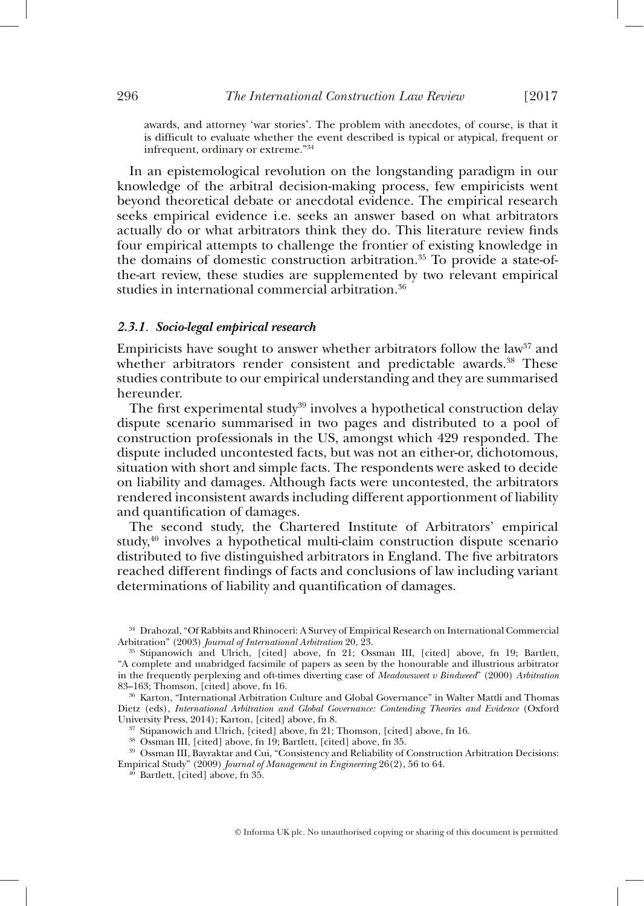awards, and attorney 'war stories'. The problem with anecdotes, of course, is that it is difficult to evaluate whether the event described is typical or atypical, frequent or infrequent, ordinary or extreme." 34

In an epistemological revolution on the longstanding paradigm in our knowledge of the arbitral decision-making process, few empiricists went beyond theoretical debate or anecdotal evidence. The empirical research seeks empirical evidence i.e. seeks an answer based on what arbitrators actually do or what arbitrators think they do. This literature review finds four empirical attempts to challenge the frontier of existing knowledge in the domains of domestic construction arbitration. 35 To provide a state-ofthe-art review, these studies are supplemented by two relevant empirical studies in international commercial arbitration. 36

### *2.3.1. Socio-legal empirical research*

Empiricists have sought to answer whether arbitrators follow the law<sup>37</sup> and whether arbitrators render consistent and predictable awards.<sup>38</sup> These studies contribute to our empirical understanding and they are summarised hereunder.

The first experimental study<sup>39</sup> involves a hypothetical construction delay dispute scenario summarised in two pages and distributed to a pool of construction professionals in the US, amongst which 429 responded. The dispute included uncontested facts, but was not an either-or, dichotomous, situation with short and simple facts. The respondents were asked to decide on liability and damages. Although facts were uncontested, the arbitrators rendered inconsistent awards including different apportionment of liability and quantification of damages.

The second study, the Chartered Institute of Arbitrators' empirical study, $40$  involves a hypothetical multi-claim construction dispute scenario distributed to five distinguished arbitrators in England. The five arbitrators reached different findings of facts and conclusions of law including variant determinations of liability and quantification of damages.

 $^{34}$  Drahozal, "Of Rabbits and Rhinoceri: A Survey of Empirical Research on International Commercial Arbitration" (2003) Journal of International Arbitration 20, 23.

<sup>&</sup>lt;sup>35</sup> Stipanowich and Ulrich, [cited] above, fn 21; Ossman III, [cited] above, fn 19; Bartlett, "A complete and unabridged facsimile of papers as seen by the honourable and illustrious arbitrator in the frequently perplexing and oft-times diverting case of *Meadowsweet v Bindweed*" (2000) *Arbitration*

<sup>&</sup>lt;sup>36</sup> Karton, "International Arbitration Culture and Global Governance" in Walter Mattli and Thomas Dietz (eds), *International Arbitration and Global Governance: Contending Theories and Evidence* (Oxford University Press, 2014); Karton, [cited] above, fn 8.<br><sup>37</sup> Stipanowich and Ulrich, [cited] above, fn 21; Thomson, [cited] above, fn 16.<br><sup>38</sup> Ossman III, [cited] above, fn 19; Bartlett, [cited] above, fn 35.<br><sup>39</sup> Ossman III

Empirical Study" (2009) *Journal of Management in Engineering* 26(2), 56 to 64. 40 Bartlett, [cited] above, fn 35.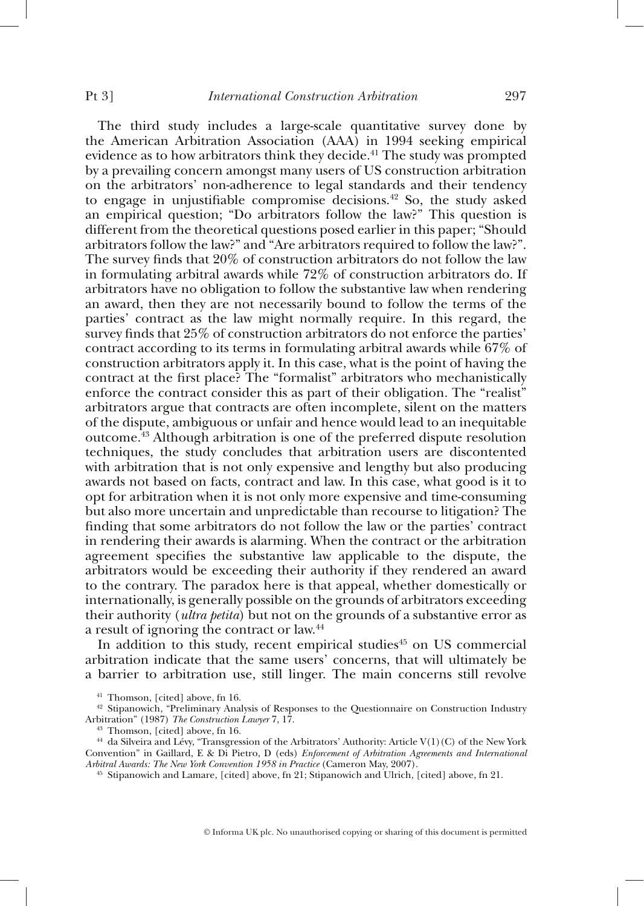The third study includes a large-scale quantitative survey done by the American Arbitration Association (AAA) in 1994 seeking empirical evidence as to how arbitrators think they decide. 41 The study was prompted by a prevailing concern amongst many users of US construction arbitration on the arbitrators' non-adherence to legal standards and their tendency to engage in unjustifiable compromise decisions.<sup>42</sup> So, the study asked an empirical question; "Do arbitrators follow the law?" This question is different from the theoretical questions posed earlier in this paper; "Should arbitrators follow the law?" and "Are arbitrators required to follow the law?". The survey finds that  $20\%$  of construction arbitrators do not follow the law in formulating arbitral awards while 72% of construction arbitrators do. If arbitrators have no obligation to follow the substantive law when rendering an award, then they are not necessarily bound to follow the terms of the parties' contract as the law might normally require. In this regard, the survey finds that 25% of construction arbitrators do not enforce the parties' contract according to its terms in formulating arbitral awards while 67% of construction arbitrators apply it. In this case, what is the point of having the contract at the first place? The "formalist" arbitrators who mechanistically enforce the contract consider this as part of their obligation. The "realist" arbitrators argue that contracts are often incomplete, silent on the matters of the dispute, ambiguous or unfair and hence would lead to an inequitable outcome. 43 Although arbitration is one of the preferred dispute resolution techniques, the study concludes that arbitration users are discontented with arbitration that is not only expensive and lengthy but also producing awards not based on facts, contract and law. In this case, what good is it to opt for arbitration when it is not only more expensive and time-consuming but also more uncertain and unpredictable than recourse to litigation? The finding that some arbitrators do not follow the law or the parties' contract in rendering their awards is alarming. When the contract or the arbitration agreement specifies the substantive law applicable to the dispute, the arbitrators would be exceeding their authority if they rendered an award to the contrary. The paradox here is that appeal, whether domestically or internationally, is generally possible on the grounds of arbitrators exceeding their authority ( *ultra petita*) but not on the grounds of a substantive error as a result of ignoring the contract or law. 44

In addition to this study, recent empirical studies<sup>45</sup> on US commercial arbitration indicate that the same users' concerns, that will ultimately be a barrier to arbitration use, still linger. The main concerns still revolve

<sup>&</sup>lt;sup>41</sup> Thomson, [cited] above, fn 16.<br><sup>42</sup> Stipanowich, "Preliminary Analysis of Responses to the Questionnaire on Construction Industry<br>Arbitration" (1987) *The Construction Lawyer* 7, 17.

<sup>&</sup>lt;sup>43</sup> Thomson, [cited] above, fn 16.<br><sup>44</sup> da Silveira and Lévy, "Transgression of the Arbitrators' Authority: Article V(1)(C) of the New York Convention" in Gaillard, E & Di Pietro, D (eds) *Enforcement of Arbitration Agreements and International Arbitral Awards: The New York Convention 1958 in Practice (Cameron May, 2007).* 

*Arbitral Awards: The New York Convention 1958 in Practice* (Cameron May, 2007). 45 Stipanowich and Lamare, [cited] above, fn 21; Stipanowich and Ulrich, [cited] above, fn 21.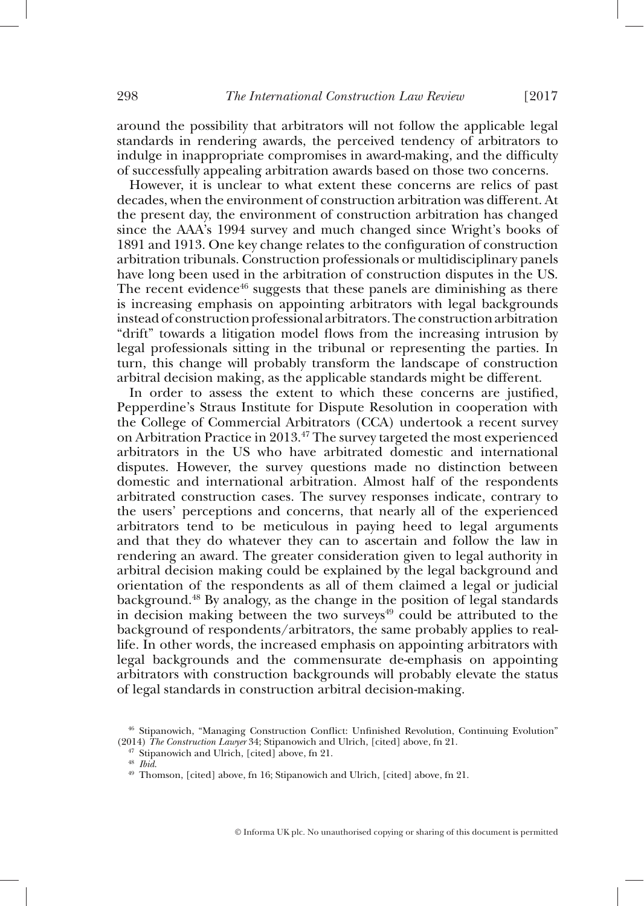around the possibility that arbitrators will not follow the applicable legal standards in rendering awards, the perceived tendency of arbitrators to indulge in inappropriate compromises in award-making, and the difficulty of successfully appealing arbitration awards based on those two concerns.

However, it is unclear to what extent these concerns are relics of past decades, when the environment of construction arbitration was different. At the present day, the environment of construction arbitration has changed since the AAA's 1994 survey and much changed since Wright's books of 1891 and 1913. One key change relates to the configuration of construction arbitration tribunals. Construction professionals or multidisciplinary panels have long been used in the arbitration of construction disputes in the US. The recent evidence<sup>46</sup> suggests that these panels are diminishing as there is increasing emphasis on appointing arbitrators with legal backgrounds instead of construction professional arbitrators. The construction arbitration "drift" towards a litigation model flows from the increasing intrusion by legal professionals sitting in the tribunal or representing the parties. In turn, this change will probably transform the landscape of construction arbitral decision making, as the applicable standards might be different.

In order to assess the extent to which these concerns are justified, Pepperdine's Straus Institute for Dispute Resolution in cooperation with the College of Commercial Arbitrators (CCA) undertook a recent survey on Arbitration Practice in 2013. 47 The survey targeted the most experienced arbitrators in the US who have arbitrated domestic and international disputes. However, the survey questions made no distinction between domestic and international arbitration. Almost half of the respondents arbitrated construction cases. The survey responses indicate, contrary to the users' perceptions and concerns, that nearly all of the experienced arbitrators tend to be meticulous in paying heed to legal arguments and that they do whatever they can to ascertain and follow the law in rendering an award. The greater consideration given to legal authority in arbitral decision making could be explained by the legal background and orientation of the respondents as all of them claimed a legal or judicial background. 48 By analogy, as the change in the position of legal standards in decision making between the two surveys $49$  could be attributed to the background of respondents/arbitrators, the same probably applies to reallife. In other words, the increased emphasis on appointing arbitrators with legal backgrounds and the commensurate de-emphasis on appointing arbitrators with construction backgrounds will probably elevate the status of legal standards in construction arbitral decision-making.

<sup>&</sup>lt;sup>46</sup> Stipanowich, "Managing Construction Conflict: Unfinished Revolution, Continuing Evolution" (2014) The Construction Lawyer 34; Stipanowich and Ulrich, [cited] above, fn 21.

<sup>&</sup>lt;sup>47</sup> Stipanowich and Ulrich, [cited] above, fn 21.<br><sup>48</sup> *Ibid.*<br><sup>49</sup> Thomson, [cited] above, fn 16; Stipanowich and Ulrich, [cited] above, fn 21.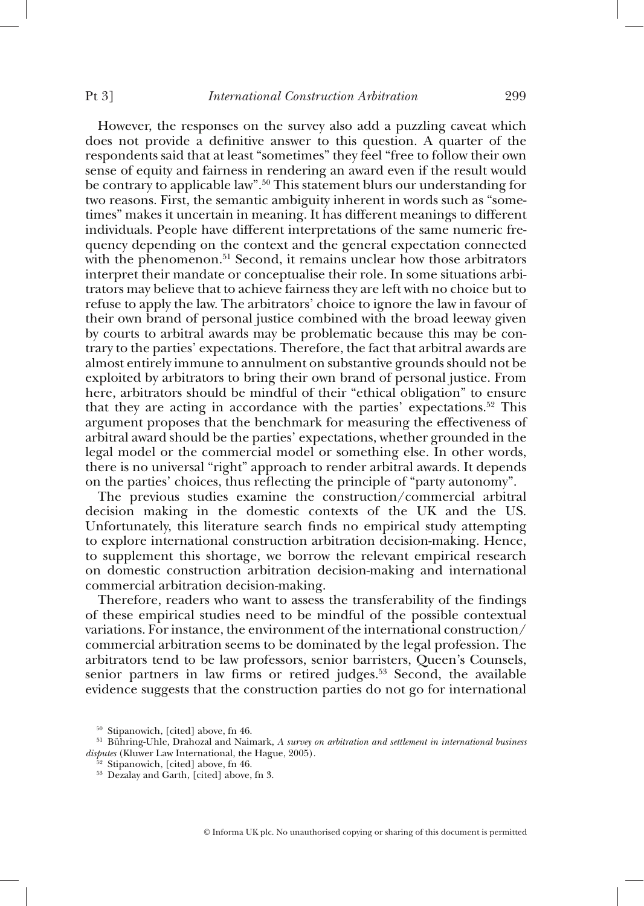However, the responses on the survey also add a puzzling caveat which does not provide a definitive answer to this question. A quarter of the respondents said that at least "sometimes" they feel "free to follow their own sense of equity and fairness in rendering an award even if the result would be contrary to applicable law". 50 This statement blurs our understanding for two reasons. First, the semantic ambiguity inherent in words such as "sometimes" makes it uncertain in meaning. It has different meanings to different individuals. People have different interpretations of the same numeric frequency depending on the context and the general expectation connected with the phenomenon.<sup>51</sup> Second, it remains unclear how those arbitrators interpret their mandate or conceptualise their role. In some situations arbitrators may believe that to achieve fairness they are left with no choice but to refuse to apply the law. The arbitrators' choice to ignore the law in favour of their own brand of personal justice combined with the broad leeway given by courts to arbitral awards may be problematic because this may be contrary to the parties' expectations. Therefore, the fact that arbitral awards are almost entirely immune to annulment on substantive grounds should not be exploited by arbitrators to bring their own brand of personal justice. From here, arbitrators should be mindful of their "ethical obligation" to ensure that they are acting in accordance with the parties' expectations.<sup>52</sup> This argument proposes that the benchmark for measuring the effectiveness of arbitral award should be the parties' expectations, whether grounded in the legal model or the commercial model or something else. In other words, there is no universal "right" approach to render arbitral awards. It depends on the parties' choices, thus reflecting the principle of "party autonomy".

The previous studies examine the construction/commercial arbitral decision making in the domestic contexts of the UK and the US. Unfortunately, this literature search finds no empirical study attempting to explore international construction arbitration decision-making. Hence, to supplement this shortage, we borrow the relevant empirical research on domestic construction arbitration decision-making and international commercial arbitration decision-making.

Therefore, readers who want to assess the transferability of the findings of these empirical studies need to be mindful of the possible contextual variations. For instance, the environment of the international construction/ commercial arbitration seems to be dominated by the legal profession. The arbitrators tend to be law professors, senior barristers, Queen's Counsels, senior partners in law firms or retired judges.<sup>53</sup> Second, the available evidence suggests that the construction parties do not go for international

<sup>&</sup>lt;sup>50</sup> Stipanowich, [cited] above, fn 46.<br><sup>51</sup> Bühring-Uhle, Drahozal and Naimark, *A survey on arbitration and settlement in international business disputes* (Kluwer Law International, the Hague, 2005).<br><sup>52</sup> Stipanowich, [cited] above, fn 46.<br><sup>53</sup> Dezalay and Garth, [cited] above, fn 3.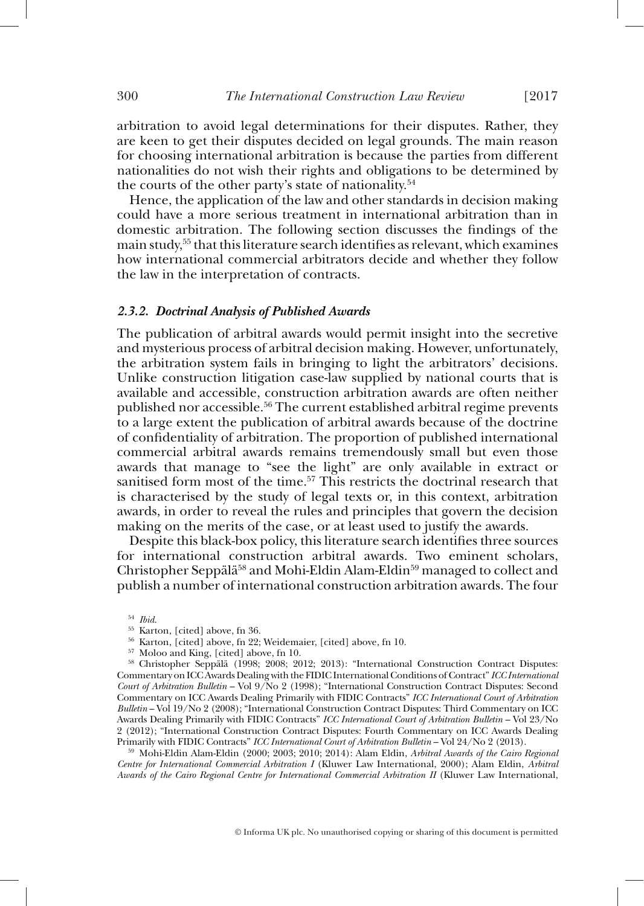arbitration to avoid legal determinations for their disputes. Rather, they are keen to get their disputes decided on legal grounds. The main reason for choosing international arbitration is because the parties from different nationalities do not wish their rights and obligations to be determined by the courts of the other party's state of nationality. 54

Hence, the application of the law and other standards in decision making could have a more serious treatment in international arbitration than in domestic arbitration. The following section discusses the findings of the main study,<sup>55</sup> that this literature search identifies as relevant, which examines how international commercial arbitrators decide and whether they follow the law in the interpretation of contracts.

#### *2.3.2. Doctrinal Analysis of Published Awards*

The publication of arbitral awards would permit insight into the secretive and mysterious process of arbitral decision making. However, unfortunately, the arbitration system fails in bringing to light the arbitrators' decisions. Unlike construction litigation case-law supplied by national courts that is available and accessible, construction arbitration awards are often neither published nor accessible. 56 The current established arbitral regime prevents to a large extent the publication of arbitral awards because of the doctrine of confidentiality of arbitration. The proportion of published international commercial arbitral awards remains tremendously small but even those awards that manage to "see the light" are only available in extract or sanitised form most of the time.<sup>57</sup> This restricts the doctrinal research that is characterised by the study of legal texts or, in this context, arbitration awards, in order to reveal the rules and principles that govern the decision making on the merits of the case, or at least used to justify the awards.

Despite this black-box policy, this literature search identifies three sources for international construction arbitral awards. Two eminent scholars, Christopher Seppälä<sup>58</sup> and Mohi-Eldin Alam-Eldin<sup>59</sup> managed to collect and publish a number of international construction arbitration awards. The four

<sup>59</sup> Mohi-Eldin Alam-Eldin (2000; 2003; 2010; 2014): Alam Eldin, *Arbitral Awards of the Cairo Regional Centre for International Commercial Arbitration I* (Kluwer Law International, 2000); Alam Eldin, *Arbitral Awards of the Cairo Regional Centre for International Commercial Arbitration II* (Kluwer Law International,

 $$^{54}$$   $\mu$ id.<br> $$^{55}$$  Karton, [cited] above, fn 36.<br> $$^{56}$$  Karton, [cited] above, fn 22; Weidemaier, [cited] above, fn 10.<br> $$^{57}$$  Moloo and King, [cited] above, fn 10.<br> $$^{57}$$  Moloo and King, [cited] above, fn 10.<br> $$^{$ Commentary on ICC Awards Dealing with the FIDIC International Conditions of Contract" *ICC International Court of Arbitration Bulletin* – Vol 9/No 2 (1998); "International Construction Contract Disputes: Second Commentary on ICC Awards Dealing Primarily with FIDIC Contracts" *ICC International Court of Arbitration Bulletin* – Vol 19/No 2 (2008); "International Construction Contract Disputes: Third Commentary on ICC Awards Dealing Primarily with FIDIC Contracts" *ICC International Court of Arbitration Bulletin* – Vol 23/No 2 (2012); "International Construction Contract Disputes: Fourth Commentary on ICC Awards Dealing<br>Primarily with FIDIC Contracts" ICC International Court of Arbitration Bulletin - Vol 24/No 2 (2013).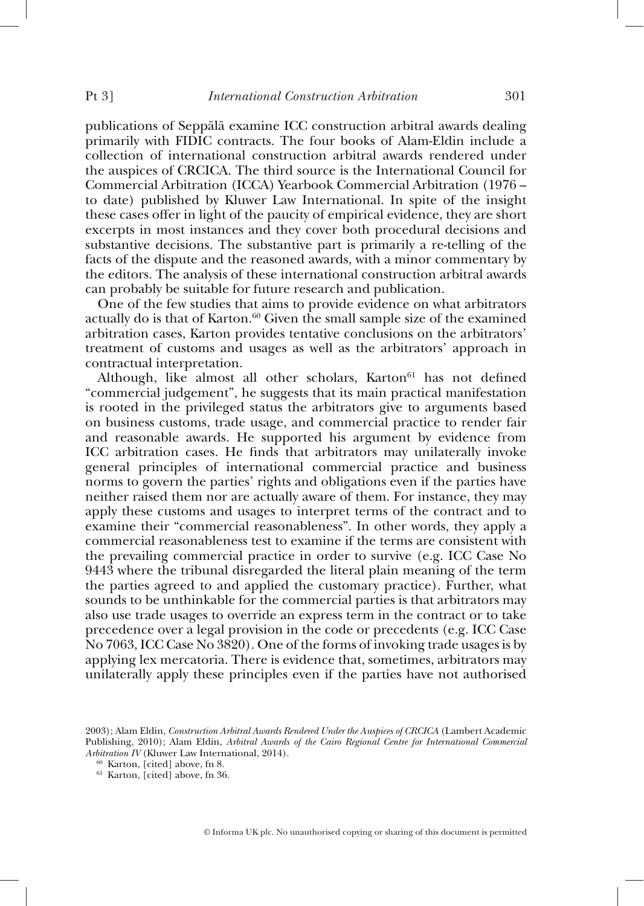publications of Seppälä examine ICC construction arbitral awards dealing primarily with FIDIC contracts. The four books of Alam-Eldin include a collection of international construction arbitral awards rendered under the auspices of CRCICA. The third source is the International Council for Commercial Arbitration (ICCA) Yearbook Commercial Arbitration (1976 – to date) published by Kluwer Law International. In spite of the insight these cases offer in light of the paucity of empirical evidence, they are short excerpts in most instances and they cover both procedural decisions and substantive decisions. The substantive part is primarily a re-telling of the facts of the dispute and the reasoned awards, with a minor commentary by the editors. The analysis of these international construction arbitral awards can probably be suitable for future research and publication.

One of the few studies that aims to provide evidence on what arbitrators actually do is that of Karton. 60 Given the small sample size of the examined arbitration cases, Karton provides tentative conclusions on the arbitrators' treatment of customs and usages as well as the arbitrators' approach in contractual interpretation.

Although, like almost all other scholars, Karton<sup>61</sup> has not defined "commercial judgement", he suggests that its main practical manifestation is rooted in the privileged status the arbitrators give to arguments based on business customs, trade usage, and commercial practice to render fair and reasonable awards. He supported his argument by evidence from ICC arbitration cases. He finds that arbitrators may unilaterally invoke general principles of international commercial practice and business norms to govern the parties' rights and obligations even if the parties have neither raised them nor are actually aware of them. For instance, they may apply these customs and usages to interpret terms of the contract and to examine their "commercial reasonableness". In other words, they apply a commercial reasonableness test to examine if the terms are consistent with the prevailing commercial practice in order to survive (e.g. ICC Case No 9443 where the tribunal disregarded the literal plain meaning of the term the parties agreed to and applied the customary practice). Further, what sounds to be unthinkable for the commercial parties is that arbitrators may also use trade usages to override an express term in the contract or to take precedence over a legal provision in the code or precedents (e.g. ICC Case No 7063, ICC Case No 3820). One of the forms of invoking trade usages is by applying lex mercatoria. There is evidence that, sometimes, arbitrators may unilaterally apply these principles even if the parties have not authorised

<sup>2003);</sup> Alam Eldin, *Construction Arbitral Awards Rendered Under the Auspices of CRCICA* (Lambert Academic Publishing, 2010); Alam Eldin, *Arbitral Awards of the Cairo Regional Centre for International Commercial Arbitration IV* (Kluwer Law International, 2014).<br><sup>60</sup> Karton, [cited] above, fn 8.<br><sup>61</sup> Karton, [cited] above, fn 36.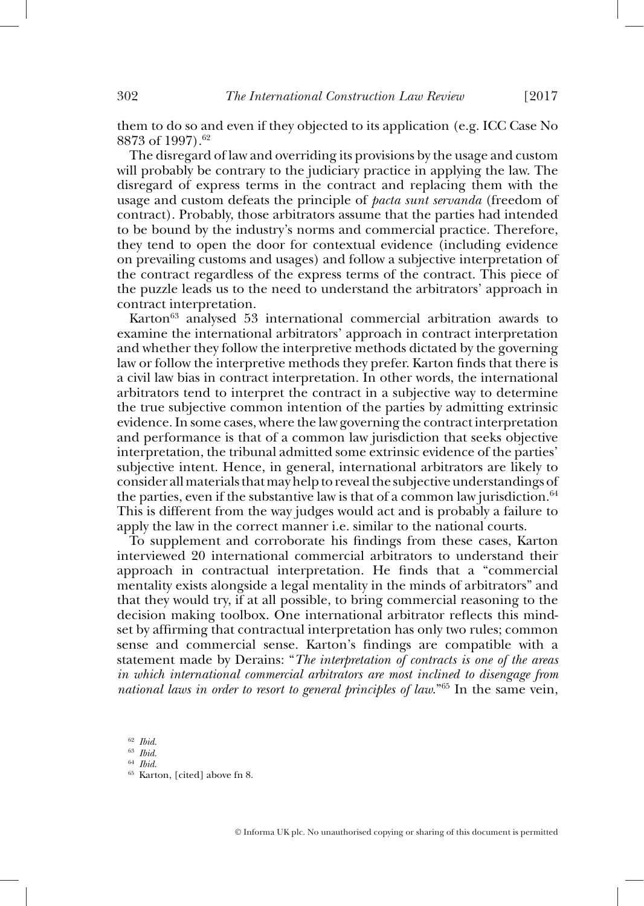them to do so and even if they objected to its application (e.g. ICC Case No 8873 of 1997). 62

The disregard of law and overriding its provisions by the usage and custom will probably be contrary to the judiciary practice in applying the law. The disregard of express terms in the contract and replacing them with the usage and custom defeats the principle of *pacta sunt servanda* (freedom of contract). Probably, those arbitrators assume that the parties had intended to be bound by the industry's norms and commercial practice. Therefore, they tend to open the door for contextual evidence (including evidence on prevailing customs and usages) and follow a subjective interpretation of the contract regardless of the express terms of the contract. This piece of the puzzle leads us to the need to understand the arbitrators' approach in contract interpretation.

Karton<sup>63</sup> analysed 53 international commercial arbitration awards to examine the international arbitrators' approach in contract interpretation and whether they follow the interpretive methods dictated by the governing law or follow the interpretive methods they prefer. Karton finds that there is a civil law bias in contract interpretation. In other words, the international arbitrators tend to interpret the contract in a subjective way to determine the true subjective common intention of the parties by admitting extrinsic evidence. In some cases, where the law governing the contract interpretation and performance is that of a common law jurisdiction that seeks objective interpretation, the tribunal admitted some extrinsic evidence of the parties' subjective intent. Hence, in general, international arbitrators are likely to consider all materials that may help to reveal the subjective understandings of the parties, even if the substantive law is that of a common law jurisdiction.  $64$ This is different from the way judges would act and is probably a failure to apply the law in the correct manner i.e. similar to the national courts.

To supplement and corroborate his findings from these cases, Karton interviewed 20 international commercial arbitrators to understand their approach in contractual interpretation. He finds that a "commercial mentality exists alongside a legal mentality in the minds of arbitrators" and that they would try, if at all possible, to bring commercial reasoning to the decision making toolbox. One international arbitrator reflects this mindset by affirming that contractual interpretation has only two rules; common sense and commercial sense. Karton's findings are compatible with a statement made by Derains: " *The interpretation of contracts is one of the areas in which international commercial arbitrators are most inclined to disengage from national laws in order to resort to general principles of law.*<sup>"65</sup> In the same vein,

<sup>62</sup>*Ibid*. 63 *Ibid*. 64 *Ibid*. 65 Karton, [cited] above fn 8.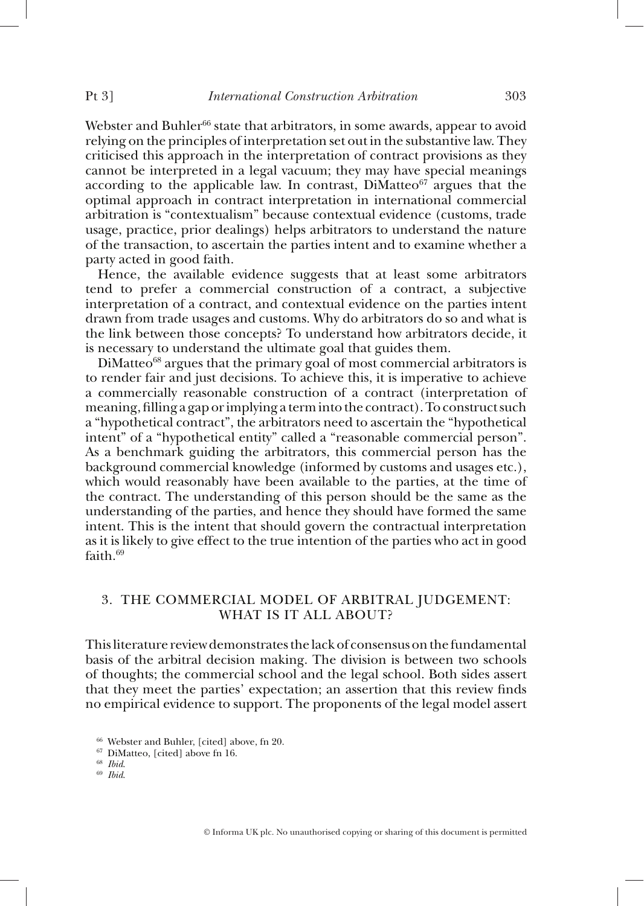Webster and Buhler<sup>66</sup> state that arbitrators, in some awards, appear to avoid relying on the principles of interpretation set out in the substantive law. They criticised this approach in the interpretation of contract provisions as they cannot be interpreted in a legal vacuum; they may have special meanings according to the applicable law. In contrast,  $DiM$ atteo<sup> $67$ </sup> argues that the optimal approach in contract interpretation in international commercial arbitration is "contextualism" because contextual evidence (customs, trade usage, practice, prior dealings) helps arbitrators to understand the nature of the transaction, to ascertain the parties intent and to examine whether a party acted in good faith.

Hence, the available evidence suggests that at least some arbitrators tend to prefer a commercial construction of a contract, a subjective interpretation of a contract, and contextual evidence on the parties intent drawn from trade usages and customs. Why do arbitrators do so and what is the link between those concepts? To understand how arbitrators decide, it is necessary to understand the ultimate goal that guides them.

 $DiM$ atteo<sup>68</sup> argues that the primary goal of most commercial arbitrators is to render fair and just decisions. To achieve this, it is imperative to achieve a commercially reasonable construction of a contract (interpretation of meaning, filling a gap or implying a term into the contract). To construct such a "hypothetical contract", the arbitrators need to ascertain the "hypothetical intent" of a "hypothetical entity" called a "reasonable commercial person". As a benchmark guiding the arbitrators, this commercial person has the background commercial knowledge (informed by customs and usages etc.), which would reasonably have been available to the parties, at the time of the contract. The understanding of this person should be the same as the understanding of the parties, and hence they should have formed the same intent. This is the intent that should govern the contractual interpretation as it is likely to give effect to the true intention of the parties who act in good faith 69

# 3. THE COMMERCIAL MODEL OF ARBITRAL JUDGEMENT: WHAT IS IT ALL ABOUT?

This literature review demonstrates the lack of consensus on the fundamental basis of the arbitral decision making. The division is between two schools of thoughts; the commercial school and the legal school. Both sides assert that they meet the parties' expectation; an assertion that this review finds no empirical evidence to support. The proponents of the legal model assert

<sup>66</sup> Webster and Buhler, [cited] above, fn 20. 67 DiMatteo, [cited] above fn 16. 68 *Ibid*. 69 *Ibid*.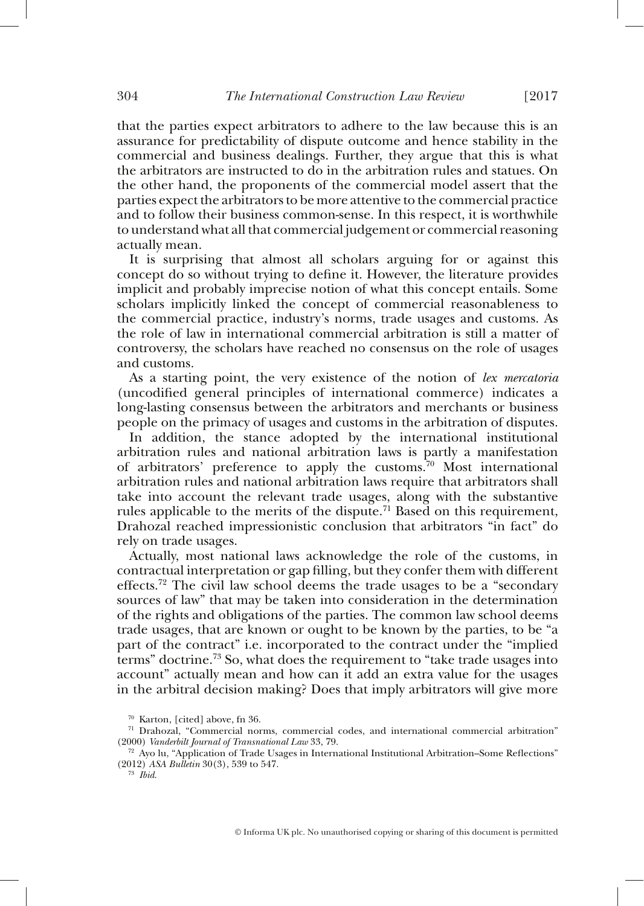that the parties expect arbitrators to adhere to the law because this is an assurance for predictability of dispute outcome and hence stability in the commercial and business dealings. Further, they argue that this is what the arbitrators are instructed to do in the arbitration rules and statues. On the other hand, the proponents of the commercial model assert that the parties expect the arbitrators to be more attentive to the commercial practice and to follow their business common-sense. In this respect, it is worthwhile to understand what all that commercial judgement or commercial reasoning actually mean.

It is surprising that almost all scholars arguing for or against this concept do so without trying to define it. However, the literature provides implicit and probably imprecise notion of what this concept entails. Some scholars implicitly linked the concept of commercial reasonableness to the commercial practice, industry's norms, trade usages and customs. As the role of law in international commercial arbitration is still a matter of controversy, the scholars have reached no consensus on the role of usages and customs.

As a starting point, the very existence of the notion of *lex mercatoria* (uncodified general principles of international commerce) indicates a long-lasting consensus between the arbitrators and merchants or business people on the primacy of usages and customs in the arbitration of disputes.

In addition, the stance adopted by the international institutional arbitration rules and national arbitration laws is partly a manifestation of arbitrators' preference to apply the customs.<sup>70</sup> Most international arbitration rules and national arbitration laws require that arbitrators shall take into account the relevant trade usages, along with the substantive rules applicable to the merits of the dispute.<sup>71</sup> Based on this requirement, Drahozal reached impressionistic conclusion that arbitrators "in fact" do rely on trade usages.

Actually, most national laws acknowledge the role of the customs, in contractual interpretation or gap filling, but they confer them with different effects.<sup>72</sup> The civil law school deems the trade usages to be a "secondary" sources of law" that may be taken into consideration in the determination of the rights and obligations of the parties. The common law school deems trade usages, that are known or ought to be known by the parties, to be "a part of the contract" i.e. incorporated to the contract under the "implied terms" doctrine. 73 So, what does the requirement to "take trade usages into account" actually mean and how can it add an extra value for the usages in the arbitral decision making? Does that imply arbitrators will give more

<sup>&</sup>lt;sup>70</sup> Karton, [cited] above, fn 36.<br><sup>71</sup> Drahozal, "Commercial norms, commercial codes, and international commercial arbitration"<br>(2000) Vanderbilt Journal of Transnational Law 33, 79.

<sup>&</sup>lt;sup>72</sup> Ayo lu, "Application of Trade Usages in International Institutional Arbitration–Some Reflections" (2012) *ASA Bulletin* 30(3), 539 to 547. 73 *Ibid*.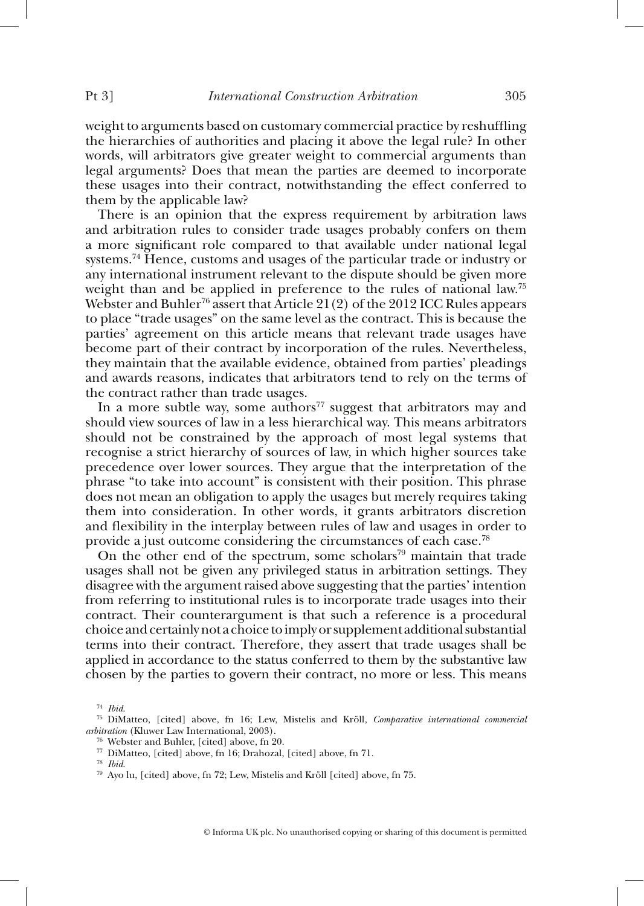weight to arguments based on customary commercial practice by reshuffling the hierarchies of authorities and placing it above the legal rule? In other words, will arbitrators give greater weight to commercial arguments than legal arguments? Does that mean the parties are deemed to incorporate these usages into their contract, notwithstanding the effect conferred to them by the applicable law?

There is an opinion that the express requirement by arbitration laws and arbitration rules to consider trade usages probably confers on them a more significant role compared to that available under national legal systems. 74 Hence, customs and usages of the particular trade or industry or any international instrument relevant to the dispute should be given more weight than and be applied in preference to the rules of national law.<sup>75</sup> Webster and Buhler<sup>76</sup> assert that Article 21(2) of the 2012 ICC Rules appears to place "trade usages" on the same level as the contract. This is because the parties' agreement on this article means that relevant trade usages have become part of their contract by incorporation of the rules. Nevertheless, they maintain that the available evidence, obtained from parties' pleadings and awards reasons, indicates that arbitrators tend to rely on the terms of the contract rather than trade usages.

In a more subtle way, some authors<sup>77</sup> suggest that arbitrators may and should view sources of law in a less hierarchical way. This means arbitrators should not be constrained by the approach of most legal systems that recognise a strict hierarchy of sources of law, in which higher sources take precedence over lower sources. They argue that the interpretation of the phrase "to take into account" is consistent with their position. This phrase does not mean an obligation to apply the usages but merely requires taking them into consideration. In other words, it grants arbitrators discretion and flexibility in the interplay between rules of law and usages in order to provide a just outcome considering the circumstances of each case. 78

On the other end of the spectrum, some scholars<sup>79</sup> maintain that trade usages shall not be given any privileged status in arbitration settings. They disagree with the argument raised above suggesting that the parties' intention from referring to institutional rules is to incorporate trade usages into their contract. Their counterargument is that such a reference is a procedural choice and certainly not a choice to imply or supplement additional substantial terms into their contract. Therefore, they assert that trade usages shall be applied in accordance to the status conferred to them by the substantive law chosen by the parties to govern their contract, no more or less. This means

<sup>74</sup>*Ibid*. 75 DiMatteo, [cited] above, fn 16; Lew, Mistelis and Kröll, *Comparative international commercial* 

<sup>&</sup>lt;sup>76</sup> Webster and Buhler, [cited] above, fn 20.<br><sup>77</sup> DiMatteo, [cited] above, fn 16; Drahozal, [cited] above, fn 71.<br><sup>78</sup> *Ibid.*<br><sup>79</sup> Ayo lu, [cited] above, fn 72; Lew, Mistelis and Kröll [cited] above, fn 75.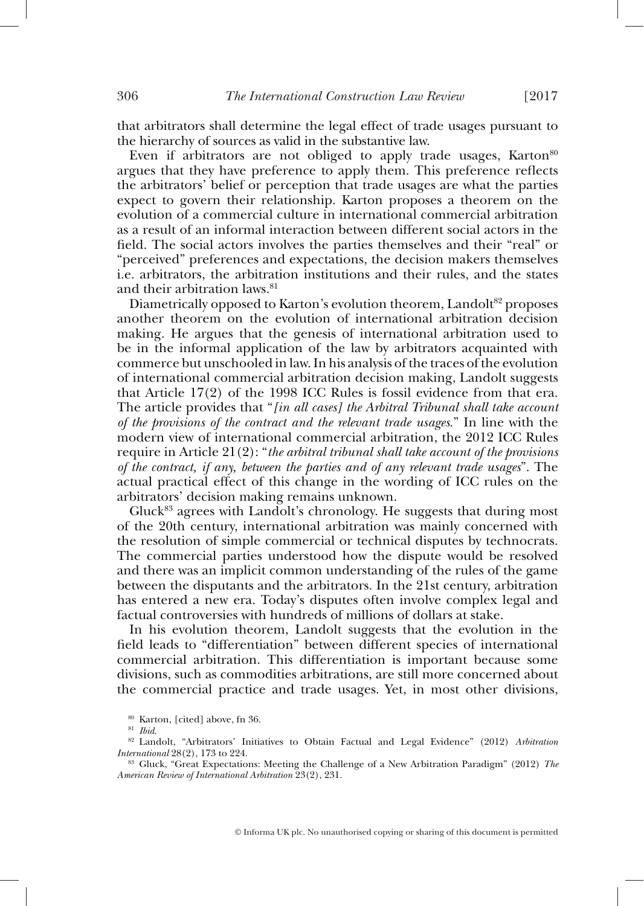that arbitrators shall determine the legal effect of trade usages pursuant to the hierarchy of sources as valid in the substantive law.

Even if arbitrators are not obliged to apply trade usages,  $\text{Karton}^{80}$ argues that they have preference to apply them. This preference reflects the arbitrators' belief or perception that trade usages are what the parties expect to govern their relationship. Karton proposes a theorem on the evolution of a commercial culture in international commercial arbitration as a result of an informal interaction between different social actors in the field. The social actors involves the parties themselves and their "real" or "perceived" preferences and expectations, the decision makers themselves i.e. arbitrators, the arbitration institutions and their rules, and the states and their arbitration laws. 81

Diametrically opposed to Karton's evolution theorem, Landolt<sup>82</sup> proposes another theorem on the evolution of international arbitration decision making. He argues that the genesis of international arbitration used to be in the informal application of the law by arbitrators acquainted with commerce but unschooled in law. In his analysis of the traces of the evolution of international commercial arbitration decision making, Landolt suggests that Article 17(2) of the 1998 ICC Rules is fossil evidence from that era. The article provides that " *[in all cases] the Arbitral Tribunal shall take account of the provisions of the contract and the relevant trade usages*." In line with the modern view of international commercial arbitration, the 2012 ICC Rules require in Article 21(2): " *the arbitral tribunal shall take account of the provisions of the contract, if any, between the parties and of any relevant trade usages*". The actual practical effect of this change in the wording of ICC rules on the arbitrators' decision making remains unknown.

Gluck 83 agrees with Landolt's chronology. He suggests that during most of the 20th century, international arbitration was mainly concerned with the resolution of simple commercial or technical disputes by technocrats. The commercial parties understood how the dispute would be resolved and there was an implicit common understanding of the rules of the game between the disputants and the arbitrators. In the 21st century, arbitration has entered a new era. Today's disputes often involve complex legal and factual controversies with hundreds of millions of dollars at stake.

In his evolution theorem, Landolt suggests that the evolution in the field leads to "differentiation" between different species of international commercial arbitration. This differentiation is important because some divisions, such as commodities arbitrations, are still more concerned about the commercial practice and trade usages. Yet, in most other divisions,

<sup>80</sup> Karton, [cited] above, fn 36. 81 *Ibid*. 82 Landolt, "Arbitrators' Initiatives to Obtain Factual and Legal Evidence" (2012) *Arbitration* 

<sup>&</sup>lt;sup>83</sup> Gluck, "Great Expectations: Meeting the Challenge of a New Arbitration Paradigm" (2012) *The American Review of International Arbitration* 23(2), 231.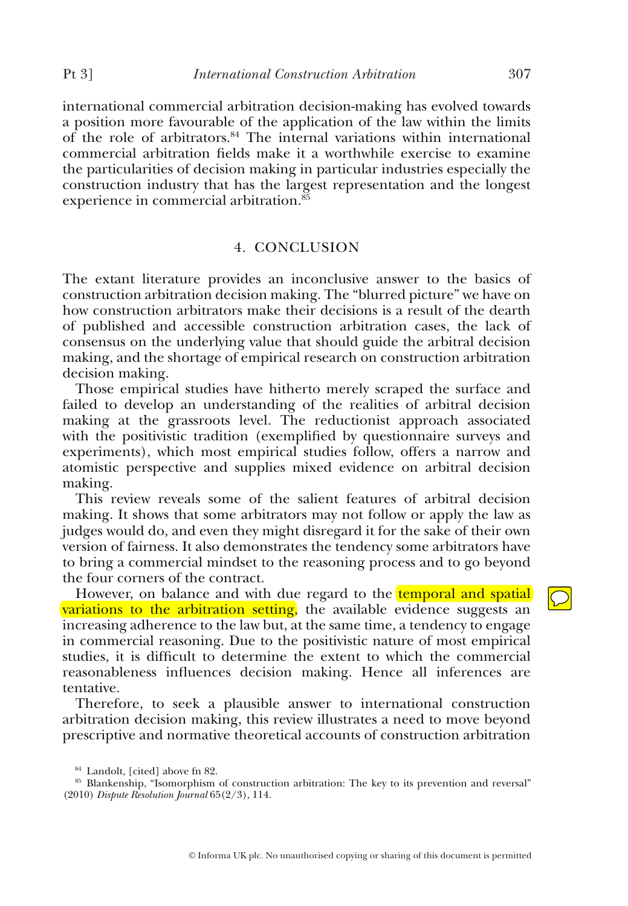international commercial arbitration decision-making has evolved towards a position more favourable of the application of the law within the limits of the role of arbitrators. 84 The internal variations within international commercial arbitration fields make it a worthwhile exercise to examine the particularities of decision making in particular industries especially the construction industry that has the largest representation and the longest experience in commercial arbitration.<sup>85</sup>

### 4. CONCLUSION

The extant literature provides an inconclusive answer to the basics of construction arbitration decision making. The "blurred picture" we have on how construction arbitrators make their decisions is a result of the dearth of published and accessible construction arbitration cases, the lack of consensus on the underlying value that should guide the arbitral decision making, and the shortage of empirical research on construction arbitration decision making.

Those empirical studies have hitherto merely scraped the surface and failed to develop an understanding of the realities of arbitral decision making at the grassroots level. The reductionist approach associated with the positivistic tradition (exemplified by questionnaire surveys and experiments), which most empirical studies follow, offers a narrow and atomistic perspective and supplies mixed evidence on arbitral decision making.

This review reveals some of the salient features of arbitral decision making. It shows that some arbitrators may not follow or apply the law as judges would do, and even they might disregard it for the sake of their own version of fairness. It also demonstrates the tendency some arbitrators have to bring a commercial mindset to the reasoning process and to go beyond the four corners of the contract.

However, on balance and with due regard to the temporal and spatial variations to the arbitration setting, the available evidence suggests an increasing adherence to the law but, at the same time, a tendency to engage in commercial reasoning. Due to the positivistic nature of most empirical studies, it is difficult to determine the extent to which the commercial reasonableness influences decision making. Hence all inferences are tentative.

Therefore, to seek a plausible answer to international construction arbitration decision making, this review illustrates a need to move beyond prescriptive and normative theoretical accounts of construction arbitration

 $\bigcirc$ 

 $84$  Landolt, [cited] above fn 82.<br> $85$  Blankenship, "Isomorphism of construction arbitration: The key to its prevention and reversal" (2010) *Dispute Resolution Journal* 65(2/3), 114.